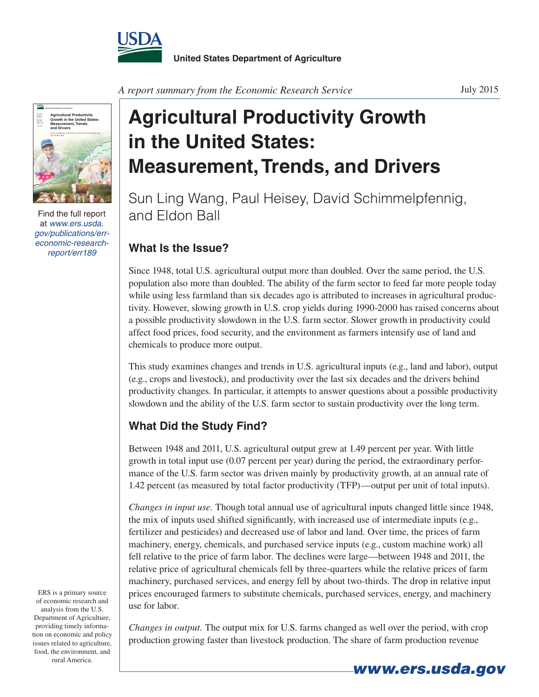



Find the full report at *www.ers.usda. gov/publications/erreconomic-research-*

## **Agricultural Productivity Growth in the United States: Measurement, Trends, and Drivers**

Sun Ling Wang, Paul Heisey, David Schimmelpfennig, and Eldon Ball

## *report/err189* **What Is the Issue?**

Since 1948, total U.S. agricultural output more than doubled. Over the same period, the U.S. population also more than doubled. The ability of the farm sector to feed far more people today while using less farmland than six decades ago is attributed to increases in agricultural productivity. However, slowing growth in U.S. crop yields during 1990-2000 has raised concerns about a possible productivity slowdown in the U.S. farm sector. Slower growth in productivity could affect food prices, food security, and the environment as farmers intensify use of land and chemicals to produce more output.

This study examines changes and trends in U.S. agricultural inputs (e.g., land and labor), output (e.g., crops and livestock), and productivity over the last six decades and the drivers behind productivity changes. In particular, it attempts to answer questions about a possible productivity slowdown and the ability of the U.S. farm sector to sustain productivity over the long term.

## **What Did the Study Find?**

Between 1948 and 2011, U.S. agricultural output grew at 1.49 percent per year. With little growth in total input use (0.07 percent per year) during the period, the extraordinary performance of the U.S. farm sector was driven mainly by productivity growth, at an annual rate of 1.42 percent (as measured by total factor productivity (TFP)—output per unit of total inputs).

*Changes in input use.* Though total annual use of agricultural inputs changed little since 1948, the mix of inputs used shifted significantly, with increased use of intermediate inputs (e.g., fertilizer and pesticides) and decreased use of labor and land. Over time, the prices of farm machinery, energy, chemicals, and purchased service inputs (e.g., custom machine work) all fell relative to the price of farm labor. The declines were large—between 1948 and 2011, the relative price of agricultural chemicals fell by three-quarters while the relative prices of farm machinery, purchased services, and energy fell by about two-thirds. The drop in relative input prices encouraged farmers to substitute chemicals, purchased services, energy, and machinery use for labor.

ERS is a primary source of economic research and analysis from the U.S. Department of Agriculture, providing timely information on economic and policy issues related to agriculture, food, the environment, and rural America.

*Changes in output.* The output mix for U.S. farms changed as well over the period, with crop production growing faster than livestock production. The share of farm production revenue